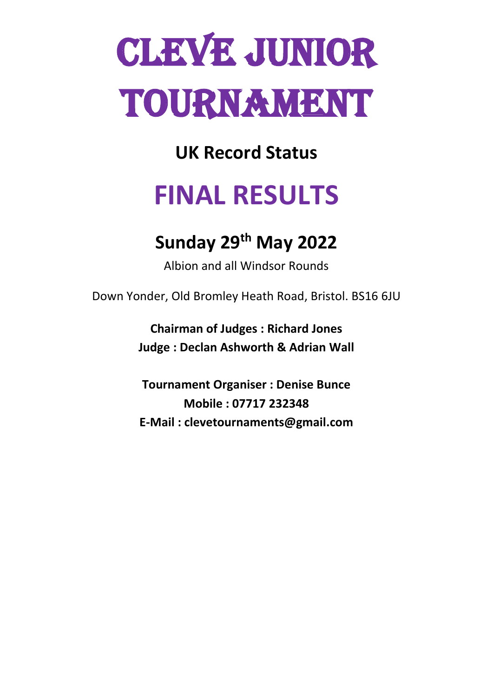# **CLEVE JUNIOR** Tournament

**UK Record Status**

## **FINAL RESULTS**

### **Sunday 29th May 2022**

Albion and all Windsor Rounds

Down Yonder, Old Bromley Heath Road, Bristol. BS16 6JU

**Chairman of Judges : Richard Jones Judge : Declan Ashworth & Adrian Wall**

**Tournament Organiser : Denise Bunce Mobile : 07717 232348 E-Mail : clevetournaments@gmail.com**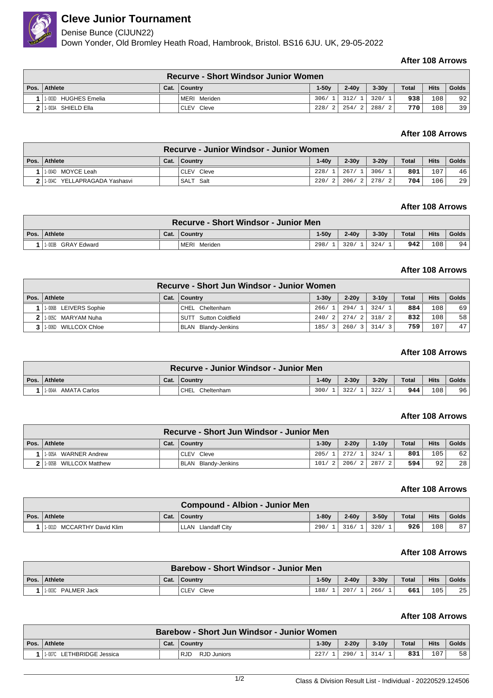

#### **Cleve Junior Tournament**

#### Denise Bunce (ClJUN22)

Down Yonder, Old Bromley Heath Road, Hambrook, Bristol. BS16 6JU. UK, 29-05-2022

#### **After 108 Arrows**

|      | <b>Recurve - Short Windsor Junior Women</b> |  |                |       |           |         |              |                  |       |  |  |
|------|---------------------------------------------|--|----------------|-------|-----------|---------|--------------|------------------|-------|--|--|
| Pos. | Athlete                                     |  | Cat.   Country | 1-50v | $2 - 40v$ | $3-30v$ | <b>Total</b> | <b>Hits</b>      | Golds |  |  |
|      | 1-003D HUGHES Emelia                        |  | MERI Meriden   | 306/1 | 312/1     | 320/    | 938          | 108 <sub>1</sub> | 92    |  |  |
|      | I 1-003A SHIELD Ella I                      |  | CLEV Cleve     | 228/2 | 254/2     | 288/2   | 7701         | 108              | 39    |  |  |

#### **After 108 Arrows**

| Recurve - Junior Windsor - Junior Women |  |                      |         |           |                   |              |                  |       |  |  |
|-----------------------------------------|--|----------------------|---------|-----------|-------------------|--------------|------------------|-------|--|--|
| Pos.   Athlete                          |  | Cat. $\vert$ Country | $1-40v$ | $2 - 30v$ | $3-20v$           | <b>Total</b> | <b>Hits</b>      | Golds |  |  |
| 11-004D MOYCE Leah                      |  | CLEV Cleve           | 228/1   | 267/1     | 306/              | 801          | 107              | 46    |  |  |
| 2 1:004C YELLAPRAGADA Yashasvi          |  | SALT Salt            |         |           | 220/2 206/2 278/2 | 704          | 106 <sub>1</sub> | 29    |  |  |

#### **After 108 Arrows**

| <b>Recurve - Short Windsor - Junior Men</b> |      |                 |         |           |         |              |             |       |  |
|---------------------------------------------|------|-----------------|---------|-----------|---------|--------------|-------------|-------|--|
| Pos. Athlete                                | Cat. | <b>Country</b>  | $1-50v$ | $2 - 40v$ | $3-30v$ | <b>Total</b> | <b>Hits</b> | Golds |  |
| 1-003B GRAY Edward                          |      | MERI<br>Meriden | 298/    | 320/      | 324/    | 942          | 108         | 94    |  |

#### **After 108 Arrows**

| Recurve - Short Jun Windsor - Junior Women |  |                       |         |         |         |              |             |       |  |  |
|--------------------------------------------|--|-----------------------|---------|---------|---------|--------------|-------------|-------|--|--|
| Pos.   Athlete                             |  | Cat.   Country        | $1-30v$ | $2-20v$ | $3-10v$ | <b>Total</b> | <b>Hits</b> | Golds |  |  |
| 1-006B LEIVERS Sophie                      |  | CHEL Cheltenham       | 266/    | 294/1   | 324/1   | 884          | 108         | 69    |  |  |
| 11-005C MARYAM Nuha                        |  | SUTT Sutton Coldfield | 240/2   | 274/2   | 318/2   | 832          | 108         | 58    |  |  |
| WILLCOX Chloe<br>$1 - 006D$                |  | BLAN Blandv-Jenkins   | 185/3   | 260/3   | 314/3   | 759          | 107         | 47    |  |  |

#### **After 108 Arrows**

|      | Recurve - Junior Windsor - Junior Men |      |                    |         |         |         |              |             |              |  |  |
|------|---------------------------------------|------|--------------------|---------|---------|---------|--------------|-------------|--------------|--|--|
| Pos. | Athlete                               | Cat. | Country            | $1-40v$ | $2-30v$ | $3-20v$ | <b>Total</b> | <b>Hits</b> | <b>Golds</b> |  |  |
|      | 1-004A AMATA Carlos                   |      | CHEL<br>Cheltenham | 300/    | 322/    | 322/    | 944          | 08          | 96           |  |  |

#### **After 108 Arrows**

| Recurve - Short Jun Windsor - Junior Men |  |                            |         |           |               |              |             |       |  |  |
|------------------------------------------|--|----------------------------|---------|-----------|---------------|--------------|-------------|-------|--|--|
| Pos. Athlete                             |  | Cat.   Country             | $1-30v$ | $2 - 20v$ | $1-10v$       | <b>Total</b> | <b>Hits</b> | Golds |  |  |
| <b>WARNER Andrew</b><br>1-005A           |  | CLEV Cleve                 | 205/1   | 272/1     | 324/1         | 801          | 105         | 62    |  |  |
| <b>WILLCOX Matthew</b><br>1-005B         |  | <b>BLAN Blandy-Jenkins</b> | $101/2$ |           | $206/2$ 287/2 | 594          | 92          | 28    |  |  |

#### **After 108 Arrows**

| <b>Compound - Albion - Junior Men</b> |                            |      |                    |         |         |         |              |             |       |
|---------------------------------------|----------------------------|------|--------------------|---------|---------|---------|--------------|-------------|-------|
|                                       | Pos. Athlete               | Cat. | Country            | $1-80v$ | $2-60v$ | $3-50v$ | <b>Total</b> | <b>Hits</b> | Golds |
|                                       | 1-001D MCCARTHY David Klim |      | LLAN Llandaff City | 290/    | 316/1   | 1320/   | 926          | 108         | 87    |
|                                       |                            |      |                    |         |         |         |              |             |       |

#### **After 108 Arrows**

| <b>Barebow - Short Windsor - Junior Men</b> |      |               |       |           |         |              |             |       |  |  |
|---------------------------------------------|------|---------------|-------|-----------|---------|--------------|-------------|-------|--|--|
| Pos.   Athlete                              | Cat. | □ Country ○   | .-50v | $2 - 40v$ | $3-30v$ | <b>Total</b> | <b>Hits</b> | Golds |  |  |
| 11-003C PALMER Jack                         |      | Cleve<br>CLEV | 188/  | 207/      | 266/    | 661          | 105         | 25    |  |  |

#### **After 108 Arrows**

| Barebow - Short Jun Windsor - Junior Women |      |                           |         |         |         |              |             |       |  |  |
|--------------------------------------------|------|---------------------------|---------|---------|---------|--------------|-------------|-------|--|--|
| Pos. Athlete                               | Cat. | ∣ Countrv                 | $1-30v$ | $2-20v$ | $3-10v$ | <b>Total</b> | <b>Hits</b> | Golds |  |  |
| 1-007C<br>LETHBRIDGE Jessica               |      | <b>RJD</b><br>RJD Juniors | 227     | 290     | 314,    | 831          | 107         | 58    |  |  |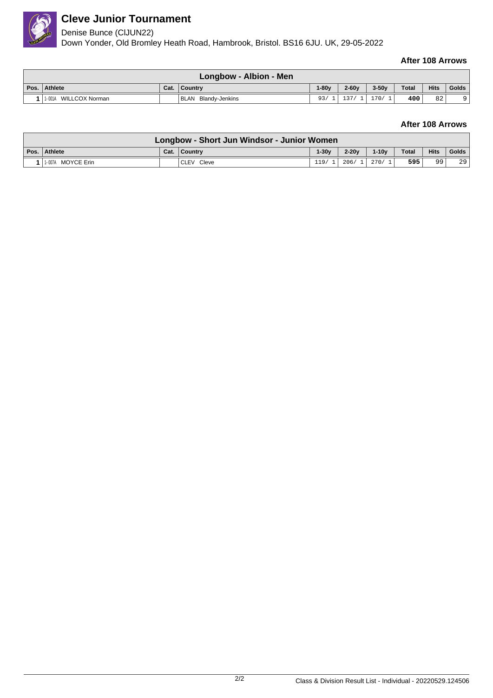

#### **Cleve Junior Tournament**

#### Denise Bunce (ClJUN22)

Down Yonder, Old Bromley Heath Road, Hambrook, Bristol. BS16 6JU. UK, 29-05-2022

#### **After 108 Arrows**

| Longbow - Albion - Men   |      |                     |         |         |         |              |             |       |  |
|--------------------------|------|---------------------|---------|---------|---------|--------------|-------------|-------|--|
| Pos. Athlete             | Cat. | ∣ Countrv           | $1-80v$ | $2-60y$ | $3-50v$ | <b>Total</b> | <b>Hits</b> | Golds |  |
| WILLCOX Norman<br>1-001A |      | BLAN Blandy-Jenkins |         |         | 170/    | 400          | 82          | Q     |  |

#### **After 108 Arrows**

| Longbow - Short Jun Windsor - Junior Women |  |                |         |           |                |              |             |       |  |  |
|--------------------------------------------|--|----------------|---------|-----------|----------------|--------------|-------------|-------|--|--|
| Pos.   Athlete                             |  | Cat.   Country | $1-30v$ | $2 - 20v$ | $1-10v$        | <b>Total</b> | <b>Hits</b> | Golds |  |  |
| 11-007A MOYCE Erin                         |  | CLEV Cleve     | 119/    |           | $206/1$ 270/ 1 | 595          | 99          | 29    |  |  |